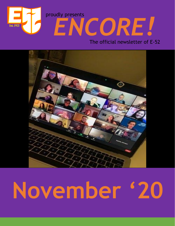



# **November '20**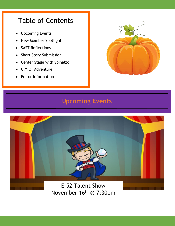# Table of Contents

• Upcoming Events

I

- New Member Spotlight
- SAST Reflections
- Short Story Submission
- Center Stage with Spinalzo
- C.Y.O. Adventure
- **Editor Information**



## **Upcoming Events**

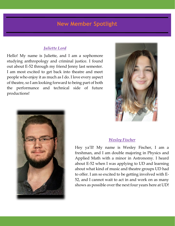## **New Member Spotlight**

#### *Juliette Lord*

l

Hello! My name is Juliette, and I am a sophomore studying anthropology and criminal justice. I found out about E-52 through my friend Jenny last semester. I am most excited to get back into theatre and meet people who enjoy it as much as I do. I love every aspect of theatre, so I am looking forward to being part of both the performance and technical side of future productions!





#### *Wesley Fischer*

Hey ya'll! My name is Wesley Fischer, I am a freshman, and I am double majoring in Physics and Applied Math with a minor in Astronomy. I heard about E-52 when I was applying to UD and learning about what kind of music and theatre groups UD had to offer. I am so excited to be getting involved with E-52, and I cannot wait to act in and work on as many shows as possible over the next four years here at UD!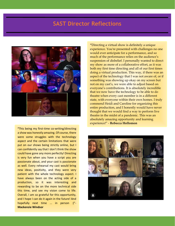## **SAST Director Reflections**



**"**This being my first-time co-writing/directing a show was honestly amazing. Of course, there were some struggles with the technology aspect and the certain limitations that were put on our shows being strictly online, but I can confidently say that I don't think the show could have gone any more perfectly! Directing is very fun when you have a script you are passionate about, and your cast is passionate as well. Every rehearsal my cast would bring new ideas, positivity, and they were very patient with the whole technology aspect. I have always been on the acting side of a production, so it was interesting and rewarding to be on the more technical side this time, and see my vision come to life. Overall, I am so grateful for this opportunity, and I hope I can do it again in the future! And hopefully next time ... in person :)"- **Mackenzie Windsor**

**"**Directing a virtual show is definitely a unique experience. You're presented with challenges no one would ever anticipate for a performance, and so much of the performance relies on the audience's suspension of disbelief. I personally wanted to direct my show as more of a collaborative effort, as it was both my first time directing and all of our first times doing a virtual production. This way, if there was an aspect of the technology that I was not aware of, or if something was showing up okay on my screen but not on my cast's, we were able to adjust based on everyone's contributions. It is absolutely incredible that we now have the technology to be able to do theatre when every cast member is in a different state, with everyone within their own homes. I truly commend Heidi and Caroline for organizing this entire production, and I honestly would have never thought that we would find a way to perform live theatre in the midst of a pandemic. This was an absolutely amazing opportunity and learning experience!" - **Rebecca Hollomon**

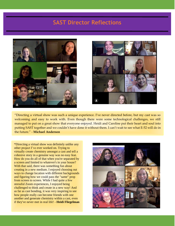## **SAST Director Reflections**





"Directing a virtual show was such a unique experience. I've never directed before, but my cast was so welcoming and easy to work with. Even though there were some technological challenges, we still managed to put on a great show that everyone enjoyed. Heidi and Caroline put their heart and soul into putting SAST together and we couldn't have done it without them. I can't wait to see what E-52 will do in the future." - **Michael Anderson**

**"**Directing a virtual show was definitely unlike any other project I've ever worked on. Trying to virtually create chemistry amongst a cast and tell a cohesive story in a genuine way was no easy feat. How do you do all of that when you're separated by a screen and limited to whatever's in your house? With that said, there was something fun about creating in a new medium. I enjoyed choosing out ways to change location with different backgrounds and figuring how we could pass the "same" prop from screen to screen. While I had quite a few stressful Zoom experiences, I enjoyed being challenged to think and create in a new way! And as far as cast bonding, it was very inspiring to see how people really can become friends with one another and generate chemistry within a cast, even if they've never met in real life! - **Heidi Fliegelman**

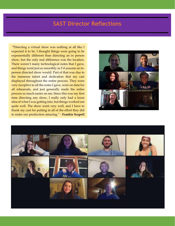## **SAST Director Reflections**

**"**Directing a virtual show was nothing at all like I expected it to be. I thought things were going to be exponentially different than directing an in person show, but the only real difference was the location. There weren't many technological notes that I gave, and things went just as smoothly as I'd assume an inperson directed show would. Part of that was due to the immense talent and dedication that my cast displayed throughout the entire process. They were very receptive to all the notes I gave, were on time for all rehearsals, and just generally made the entire process so much easier on me. Since this was my first time directing any show, I really only had a loose idea of what I was getting into, but things worked out quite well. The show went very well, and I have to thank my cast for putting in all of the effort they did to make our production amazing." - **Frankie Scapoli**



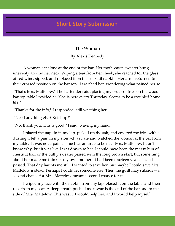# **Micro Story Short Story Submission**

The Woman

By Alexis Kennedy

A woman sat alone at the end of the bar. Her moth-eaten sweater hung unevenly around her neck. Wiping a tear from her cheek, she reached for the glass of red wine, sipped, and replaced it on the cocktail napkin. Her arms returned to their crossed position on the bar top. I watched her, wondering what pained her so.

"That's Mrs. Mattelow." The bartender said, placing my order of fries on the wood bar top table I resided at. "She is here every Thursday. Seems to be a troubled home life."

"Thanks for the info," I responded, still watching her.

"Need anything else? Ketchup?"

"No, thank you. This is good." I said, waving my hand.

I placed the napkin in my lap, picked up the salt, and covered the fries with a dusting. I felt a pain in my stomach as I ate and watched the woman at the bar from my table. It was not a pain as much as an urge to be near Mrs. Mattelow. I don't know why, but it was like I was drawn to her. It could have been the messy bun of chestnut hair or the bulky sweater paired with the long brown skirt, but something about her made me think of my own mother. It had been fourteen years since she passed. That day haunts me still. I wanted to save her, but maybe I could save Mrs. Mattelow instead. Perhaps I could fix someone else. Then the guilt may subside—a second chance for Mrs. Mattelow meant a second chance for me.

I wiped my face with the napkin from my lap, placed it on the table, and then rose from my seat. A deep breath pushed me towards the end of the bar and to the side of Mrs. Mattelow. This was it. I would help her, and I would help myself.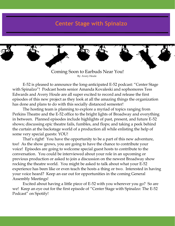## **Center Stage with Spinalzo**



E-52 is pleased to announce the long-anticipated E-52 podcast: "Center Stage with Spinalzo"! Podcast hosts senior Amanda Kovaleski and sophomores Tess Edwards and Avery Houle are all super excited to record and release the first episodes of this new project as they look at all the amazing things the organization has done and plans to do with this socially distanced semester!

The hosting team is planning to explore a myriad of topics ranging from Perkins Theatre and the E-52 office to the bright lights of Broadway and everything in between. Planned episodes include highlights of past, present, and future E-52 shows; discussing epic theatre fails, fumbles, and flops; and taking a peek behind the curtain at the backstage world of a production all while enlisting the help of some very special guests: YOU!

That's right! You have the opportunity to be a part of this new adventure, too! As the show grows, you are going to have the chance to contribute your voice! Episodes are going to welcome special guest hosts to contribute to the conversation. You could be interviewed about your role in an upcoming or previous production or asked to join a discussion on the newest Broadway show rocking the theatre world. You might be asked to talk about what your E-52 experience has been like or even teach the hosts a thing or two. Interested in having your voice heard? Keep an ear out for opportunities in the coming General Assembly Meetings!

Excited about having a little piece of E-52 with you wherever you go? So are we! Keep an eye out for the first episode of "Center Stage with Spinalzo: The E-52 Podcast" on Spotify!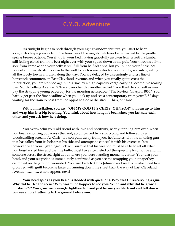## **C.Y.O. Adventure**

As sunlight begins to peek through your aging window shutters, you start to hear songbirds chirping away from the branches of the mighty oak trees being rustled by the gentle spring breeze outside. You sit up in your bed, having gracefully awoken from a restful slumber, still feeling elated from the best night ever with your squad down at the pub. Your throat is a little sore from karaoke and your belly is still full from half-off apps, but you put on your finest lace bonnet and merrily stroll down to the well to fetch some water for your family, warmly greeting all the lovely towns children along the way. You are delayed by a seemingly endless line of horseback commuters on East Cleveland Avenue, and when you finally get to cross the intersection, you are stopped again, this time by a high-capacity cargo-carrying locomotive roaring past North College Avenue. "Oh well, another day another nickel," you think to yourself as you pay the strapping young paperboy for the morning newspaper. "The Review: 14 April 1865." You hardly get past the first headline when you look up and see a contemporary from your E-52 days waiting for the train to pass from the opposite side of the street: Chris Johnson!

#### **Without hesitation, you say, "OH MY GOD IT'S CHRIS JOHNSON" and run up to him and wrap him in a big bear hug. You think about how long it's been since you last saw each other, and you ask how he's doing.**

You overwhelm your old friend with love and positivity, nearly toppling him over, when you hear a shot ring out across the land, accompanied by a sharp ping and followed by a bloodcurdling scream. As Chris Johnson pulls away from you, he fumbles with the smoking gun that has fallen from its holster at his side and attempts to conceal it with his overcoat. You, however, with your lightning-quick wit, surmise that his weapon must have been set off when you hug-tackled him and that the bullet must have ricocheted off the speeding locomotive and hit someone across the street, right about where you were standing moments earlier. You turn your head, and your suspicion is immediately confirmed as you see the strapping young paperboy crumpled on the ground, wounded. You turn back to Chris Johnson and see his mustachioed face grow red with guilt before he takes off running down the street back the way of East Cleveland Avenue…………. what happens next?

**Your head spins as your brain is flooded with questions. Why was Chris carrying a gun? Why did he flee the scene? Why wasn't he happier to see you? When and why did he grow a mustache??? You grow increasingly lightheaded, and just before you black out and fall down, you see a note fluttering to the ground before you.**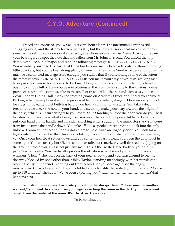## **C.Y.O. Adventure (Continued)**

Dazed and confused, you wake up several hours later. The interminable train is still chugging along, and the sleepy town remains still, but the late afternoon heat makes your brow sweat as the setting sun's rays cast a perfect golden hour glow all across Newark. As you regain your bearings, you spot the note that had fallen from Mr. Johnson's coat. You unfold the tiny, damp, wrinkled slip of paper and read the following message: REPRESENT INTENT DUCKS. You're initially surprised to learn that Chris has become such a fierce advocate for those annoying little quackers, but you've been doing plenty of word puzzles in the Sunday papers and figure this must be a scrambled message. Sure enough, you realize that if you rearrange some of the letters, the message says PERKINS STUDENT CENTER! You make your way downtown, walking fast, faces pass, and you're homebound to Perkins. Along your way you are comforted by a familiar, bustling campus full of life—you hear explosions in the labs, flash a smile to the anxious young prospects touring the campus, take in the smell of fresh grilled cheese sandwiches as you pass Cesar Rodney Dining Hall, thank the crossing guard on Academy Street, and finally you arrive at Perkins, which is empty as it is in the process of being renovated yet again. Once inside, you look for clues in the eerily quiet building before you hear a commotion upstairs. You take a deep breath, double check the note in your hand, and stealthily make your way towards the origin of the noise, which is, unsurprisingly to you, room #310. Standing outside the door, you do your best to listen in but can't hear what's being discussed over the sound of a powerful banjo ballad. You put your hand on the handle and consider knocking when suddenly the music stops and someone from inside turns the handle down. You take off like a spooked racehorse and duck into the only unlocked room on the second floor: a dark storage closet with an ungodly odor. You look for a light switch but remember that this story is taking place in 1865 and electricity isn't really a thing yet. Once your heartbeat settles down and you sense the coast is clear, you open the door to let in some light. You are utterly horrified to see a man (albeit a remarkably well-dressed man) lying on the ground before you. This is not just any man. This is the twisted dead body of your old E-52 pal, Christian Reilly. You can hardly process the situation when behind you a chilling voice whispers "Hello." The hairs on the back of your neck shoot up and you turn around to see the doorway blocked by none other than Ashley Taylor, standing menacingly with her purple cape blowing softly in the wind. Stepping out from behind her you once again see the angry, mustachioed Chris Johnson with his arms folded and a lavishly decorated gun in his hand. "Come up to 310 with us," she says. "We've been expecting you." …....................................................What happens next?

**You slam the door and barricade yourself in the storage closet. "There must be another way out," you think to yourself. As you begin searching the room in the dark, you hear a faint cough from the center of the room. It's Christian. He's alive.**

To be continued...